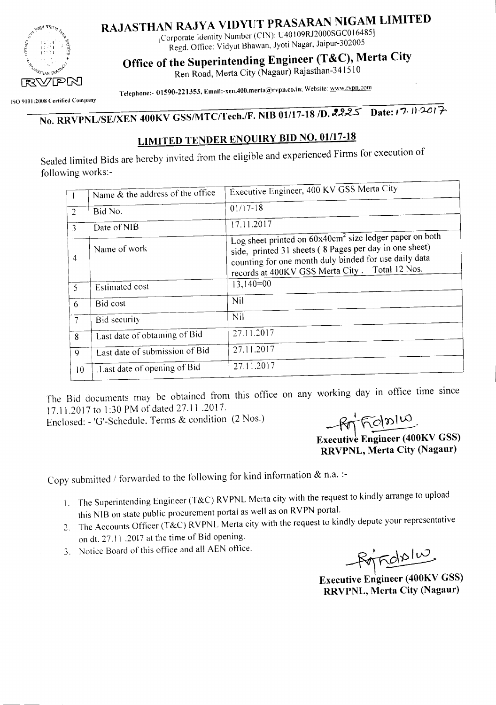

# RAJASTHAN RAJYA VIDYUT PRASARAN NIGAM LIMITED

[Corporate Identity Number (CIN): U40 I09RJ2000SGCO 16485] Regd. Office: Vidyut Bhawan, Jyoti Nagar, Jaipur-302005

Office of the Superintending Engineer (T&C), Merta City

Ren Road, Merta City (Nagaur) Rajasthan-34151 0

Telephone:- 01590-221353, Email:-xen.400.merta@rvpn.co.in; Website: www.rvpn.com

ISO 9001:2008 Certified Company

No. RRVPNL/SE/XEN 400KV GSS/MTC/Tech./F. NIB 01/17-18 /D. 2225 Date:  $17.11$ ·2017-

### **LIMITED TENDER ENQUIRY BID NO. 01/17-18**

Sealed limited Bids are hereby invited from the eligible and experienced Firms for execution of following works:-

|                 | Name & the address of the office | Executive Engineer, 400 KV GSS Merta City                                                                                                                                                                                       |
|-----------------|----------------------------------|---------------------------------------------------------------------------------------------------------------------------------------------------------------------------------------------------------------------------------|
| 2               | Bid No.                          | $01/17-18$                                                                                                                                                                                                                      |
| 3               | Date of NIB                      | 17.11.2017                                                                                                                                                                                                                      |
| $\overline{4}$  | Name of work                     | Log sheet printed on $60x40cm^2$ size ledger paper on both<br>side, printed 31 sheets (8 Pages per day in one sheet)<br>counting for one month duly binded for use daily data<br>records at 400KV GSS Merta City. Total 12 Nos. |
| 5               | Estimated cost                   | $13,140=00$                                                                                                                                                                                                                     |
| 6               | Bid cost                         | Nil                                                                                                                                                                                                                             |
| $\tau$          | Bid security                     | Nil                                                                                                                                                                                                                             |
| 8               | Last date of obtaining of Bid    | 27.11.2017                                                                                                                                                                                                                      |
| 9               | Last date of submission of Bid   | 27.11.2017                                                                                                                                                                                                                      |
| 10 <sup>°</sup> | Last date of opening of Bid.     | 27.11.2017                                                                                                                                                                                                                      |
|                 |                                  |                                                                                                                                                                                                                                 |

The Bid documents may be obtained from this office on any working day in office time since 17.11.2017 to 1:30 PM of dated 27.11.2017.

Enclosed: - 'G'-Schedule. Terms & condition (2 Nos.) **800 Report 100 PM** 

Executive Engineer (400KV GSS)

RRVPNL, Merta City (Nagaur)

Copy submitted / forwarded to the following for kind information & n.a. :-

- 1. The Superintending Engineer (T&C) RYPNL Merta city with the request to kindly arrange to upload this NIB on state public procurement portal as well as on RYPN portal.
- 2. The Accounts Officer (T&C) RYPNL Merta city with the request to kindly depute your representative on dt. 27.11 .2017 at the time of Bid opening.
- 3. Notice Board of this office and all AEN office.

Rondslus

Executive Engineer (400KV GSS) RRVPNL, Merta City (Nagaur)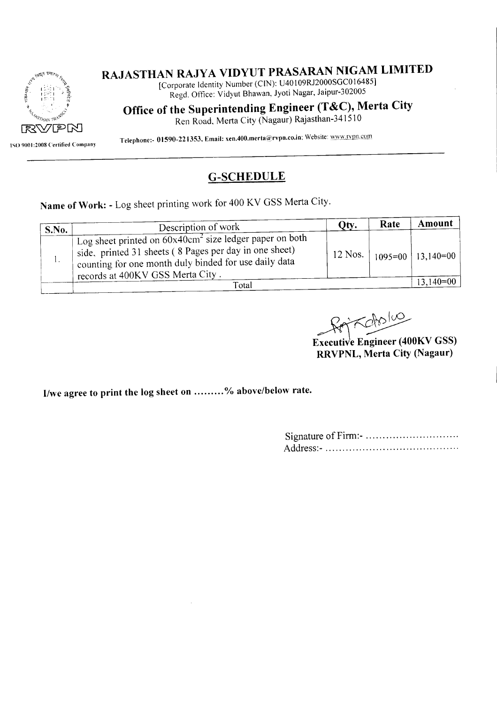

ISO 9001:2008 Certified Company

## **RAJASTHAN RAJY A VIDYUT PRASARAN NIGAM LIMITED**

[Corporate Identity Number (CIN): U40109RJ2000SGC016485] Regd. Office: Vidyut Bhawan, Jyoti Nagar, Jaipur-302005

**Office of the Superintending Engineer (T&C), Merta City**

Ren Road, Merta City (Nagaur) Rajasthan-341510

Telephone:- 01590-221353, Email: xen.400.merta@rvpn.co.in; Website: www.rypn.com

#### **G-SCHEDULE**

**Name** of Work: - Log sheet printing work for 400 KV GSS Merta City.

| S.No. | Description of work                                                                                                                                                                                               | Qty.    | Rate | Amount                |  |  |  |
|-------|-------------------------------------------------------------------------------------------------------------------------------------------------------------------------------------------------------------------|---------|------|-----------------------|--|--|--|
|       | Log sheet printed on $60x40cm^2$ size ledger paper on both<br>side, printed 31 sheets (8 Pages per day in one sheet)<br>counting for one month duly binded for use daily data<br>records at 400KV GSS Merta City. | 12 Nos. |      | $1095=00$   13,140=00 |  |  |  |
|       | Total                                                                                                                                                                                                             |         |      |                       |  |  |  |

Kabolio

~~ **Executive Engineer (400KV GSS) RRVPNL, Merta City (Nagaur)**

**IIwe agree to print the log sheet on % above/below rate.**